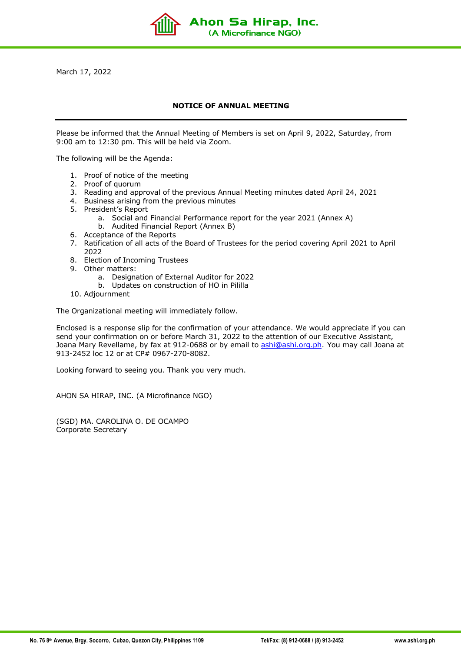March 17, 2022

## **NOTICE OF ANNUAL MEETING**

Ahon Sa Hirap, Inc. (A Microfinance NGO)

Please be informed that the Annual Meeting of Members is set on April 9, 2022, Saturday, from 9:00 am to 12:30 pm. This will be held via Zoom.

The following will be the Agenda:

- 1. Proof of notice of the meeting
- 2. Proof of quorum
- 3. Reading and approval of the previous Annual Meeting minutes dated April 24, 2021
- 4. Business arising from the previous minutes
- 5. President's Report
	- a. Social and Financial Performance report for the year 2021 (Annex A)
	- b. Audited Financial Report (Annex B)
- 6. Acceptance of the Reports
- 7. Ratification of all acts of the Board of Trustees for the period covering April 2021 to April 2022
- 8. Election of Incoming Trustees
- 9. Other matters:
	- a. Designation of External Auditor for 2022
	- b. Updates on construction of HO in Pililla
- 10. Adjournment

The Organizational meeting will immediately follow.

Enclosed is a response slip for the confirmation of your attendance. We would appreciate if you can send your confirmation on or before March 31, 2022 to the attention of our Executive Assistant, Joana Mary Revellame, by fax at 912-0688 or by email to ashi@ashi.org.ph. You may call Joana at 913-2452 loc 12 or at CP# 0967-270-8082.

Looking forward to seeing you. Thank you very much.

AHON SA HIRAP, INC. (A Microfinance NGO)

(SGD) MA. CAROLINA O. DE OCAMPO Corporate Secretary